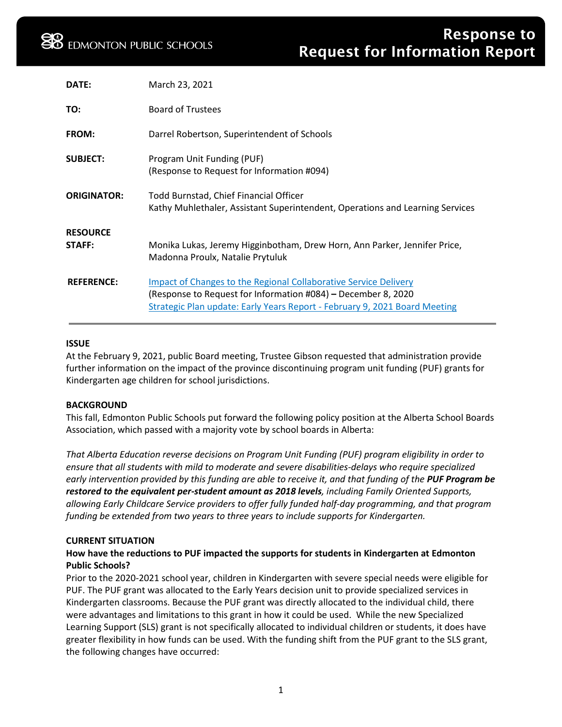| DATE:                     | March 23, 2021                                                                                                                                                                                                  |
|---------------------------|-----------------------------------------------------------------------------------------------------------------------------------------------------------------------------------------------------------------|
| TO:                       | <b>Board of Trustees</b>                                                                                                                                                                                        |
| <b>FROM:</b>              | Darrel Robertson, Superintendent of Schools                                                                                                                                                                     |
| <b>SUBJECT:</b>           | Program Unit Funding (PUF)<br>(Response to Request for Information #094)                                                                                                                                        |
| <b>ORIGINATOR:</b>        | Todd Burnstad, Chief Financial Officer<br>Kathy Muhlethaler, Assistant Superintendent, Operations and Learning Services                                                                                         |
| <b>RESOURCE</b><br>STAFF: | Monika Lukas, Jeremy Higginbotham, Drew Horn, Ann Parker, Jennifer Price,<br>Madonna Proulx, Natalie Prytuluk                                                                                                   |
| <b>REFERENCE:</b>         | Impact of Changes to the Regional Collaborative Service Delivery<br>(Response to Request for Information #084) – December 8, 2020<br>Strategic Plan update: Early Years Report - February 9, 2021 Board Meeting |

### **ISSUE**

At the February 9, 2021, public Board meeting, Trustee Gibson requested that administration provide further information on the impact of the province discontinuing program unit funding (PUF) grants for Kindergarten age children for school jurisdictions.

### **BACKGROUND**

This fall, Edmonton Public Schools put forward the following policy position at the Alberta School Boards Association, which passed with a majority vote by school boards in Alberta:

*That Alberta Education reverse decisions on Program Unit Funding (PUF) program eligibility in order to ensure that all students with mild to moderate and severe disabilities-delays who require specialized early intervention provided by this funding are able to receive it, and that funding of the PUF Program be restored to the equivalent per-student amount as 2018 levels, including Family Oriented Supports, allowing Early Childcare Service providers to offer fully funded half-day programming, and that program funding be extended from two years to three years to include supports for Kindergarten.*

### **CURRENT SITUATION**

## **How have the reductions to PUF impacted the supports for students in Kindergarten at Edmonton Public Schools?**

Prior to the 2020-2021 school year, children in Kindergarten with severe special needs were eligible for PUF. The PUF grant was allocated to the Early Years decision unit to provide specialized services in Kindergarten classrooms. Because the PUF grant was directly allocated to the individual child, there were advantages and limitations to this grant in how it could be used. While the new Specialized Learning Support (SLS) grant is not specifically allocated to individual children or students, it does have greater flexibility in how funds can be used. With the funding shift from the PUF grant to the SLS grant, the following changes have occurred: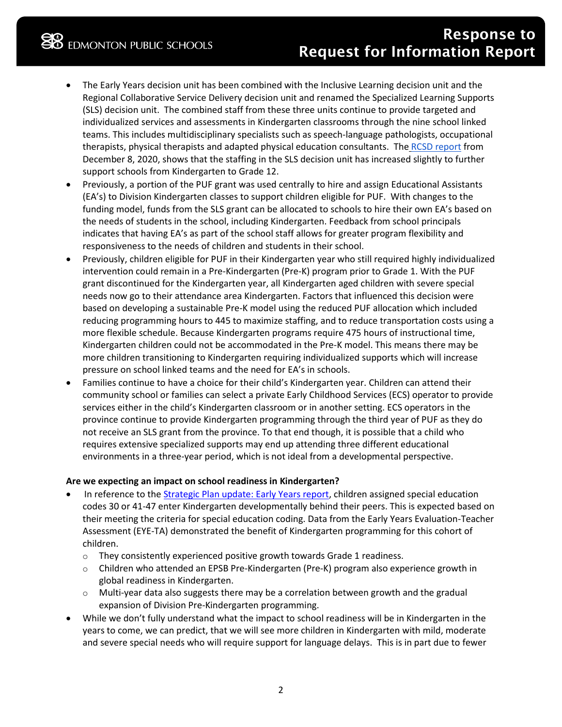- The Early Years decision unit has been combined with the Inclusive Learning decision unit and the Regional Collaborative Service Delivery decision unit and renamed the Specialized Learning Supports (SLS) decision unit. The combined staff from these three units continue to provide targeted and individualized services and assessments in Kindergarten classrooms through the nine school linked teams. This includes multidisciplinary specialists such as speech-language pathologists, occupational therapists, physical therapists and adapted physical education consultants. The [RCSD report](https://www.epsb.ca/media/epsb/ourdistrict/boardoftrustees/boardmeetings/2020-21/december82020/09-ImpactofChangestotheRegionalCollaborativeServiceDelivery.pdf) from December 8, 2020, shows that the staffing in the SLS decision unit has increased slightly to further support schools from Kindergarten to Grade 12.
- Previously, a portion of the PUF grant was used centrally to hire and assign Educational Assistants (EA's) to Division Kindergarten classes to support children eligible for PUF. With changes to the funding model, funds from the SLS grant can be allocated to schools to hire their own EA's based on the needs of students in the school, including Kindergarten. Feedback from school principals indicates that having EA's as part of the school staff allows for greater program flexibility and responsiveness to the needs of children and students in their school.
- Previously, children eligible for PUF in their Kindergarten year who still required highly individualized intervention could remain in a Pre-Kindergarten (Pre-K) program prior to Grade 1. With the PUF grant discontinued for the Kindergarten year, all Kindergarten aged children with severe special needs now go to their attendance area Kindergarten. Factors that influenced this decision were based on developing a sustainable Pre-K model using the reduced PUF allocation which included reducing programming hours to 445 to maximize staffing, and to reduce transportation costs using a more flexible schedule. Because Kindergarten programs require 475 hours of instructional time, Kindergarten children could not be accommodated in the Pre-K model. This means there may be more children transitioning to Kindergarten requiring individualized supports which will increase pressure on school linked teams and the need for EA's in schools.
- Families continue to have a choice for their child's Kindergarten year. Children can attend their community school or families can select a private Early Childhood Services (ECS) operator to provide services either in the child's Kindergarten classroom or in another setting. ECS operators in the province continue to provide Kindergarten programming through the third year of PUF as they do not receive an SLS grant from the province. To that end though, it is possible that a child who requires extensive specialized supports may end up attending three different educational environments in a three-year period, which is not ideal from a developmental perspective.

## **Are we expecting an impact on school readiness in Kindergarten?**

- In reference to the [Strategic Plan update: Early Years report,](https://www.epsb.ca/media/epsb/ourdistrict/boardoftrustees/boardmeetings/2020-21/february92021/06-StrategicPlanUpdate-EarlyYears.pdf) children assigned special education codes 30 or 41-47 enter Kindergarten developmentally behind their peers. This is expected based on their meeting the criteria for special education coding. Data from the Early Years Evaluation-Teacher Assessment (EYE-TA) demonstrated the benefit of Kindergarten programming for this cohort of children.
	- $\circ$  They consistently experienced positive growth towards Grade 1 readiness.
	- o Children who attended an EPSB Pre-Kindergarten (Pre-K) program also experience growth in global readiness in Kindergarten.
	- $\circ$  Multi-year data also suggests there may be a correlation between growth and the gradual expansion of Division Pre-Kindergarten programming.
- While we don't fully understand what the impact to school readiness will be in Kindergarten in the years to come, we can predict, that we will see more children in Kindergarten with mild, moderate and severe special needs who will require support for language delays. This is in part due to fewer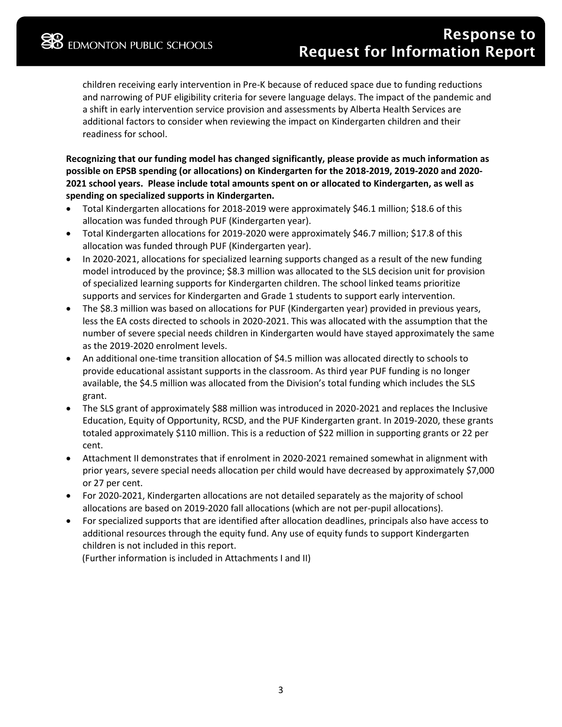children receiving early intervention in Pre-K because of reduced space due to funding reductions and narrowing of PUF eligibility criteria for severe language delays. The impact of the pandemic and a shift in early intervention service provision and assessments by Alberta Health Services are additional factors to consider when reviewing the impact on Kindergarten children and their readiness for school.

**Recognizing that our funding model has changed significantly, please provide as much information as possible on EPSB spending (or allocations) on Kindergarten for the 2018-2019, 2019-2020 and 2020- 2021 school years. Please include total amounts spent on or allocated to Kindergarten, as well as spending on specialized supports in Kindergarten.**

- Total Kindergarten allocations for 2018-2019 were approximately \$46.1 million; \$18.6 of this allocation was funded through PUF (Kindergarten year).
- Total Kindergarten allocations for 2019-2020 were approximately \$46.7 million; \$17.8 of this allocation was funded through PUF (Kindergarten year).
- In 2020-2021, allocations for specialized learning supports changed as a result of the new funding model introduced by the province; \$8.3 million was allocated to the SLS decision unit for provision of specialized learning supports for Kindergarten children. The school linked teams prioritize supports and services for Kindergarten and Grade 1 students to support early intervention.
- The \$8.3 million was based on allocations for PUF (Kindergarten year) provided in previous years, less the EA costs directed to schools in 2020-2021. This was allocated with the assumption that the number of severe special needs children in Kindergarten would have stayed approximately the same as the 2019-2020 enrolment levels.
- An additional one-time transition allocation of \$4.5 million was allocated directly to schools to provide educational assistant supports in the classroom. As third year PUF funding is no longer available, the \$4.5 million was allocated from the Division's total funding which includes the SLS grant.
- The SLS grant of approximately \$88 million was introduced in 2020-2021 and replaces the Inclusive Education, Equity of Opportunity, RCSD, and the PUF Kindergarten grant. In 2019-2020, these grants totaled approximately \$110 million. This is a reduction of \$22 million in supporting grants or 22 per cent.
- Attachment II demonstrates that if enrolment in 2020-2021 remained somewhat in alignment with prior years, severe special needs allocation per child would have decreased by approximately \$7,000 or 27 per cent.
- For 2020-2021, Kindergarten allocations are not detailed separately as the majority of school allocations are based on 2019-2020 fall allocations (which are not per-pupil allocations).
- For specialized supports that are identified after allocation deadlines, principals also have access to additional resources through the equity fund. Any use of equity funds to support Kindergarten children is not included in this report.

(Further information is included in Attachments I and II)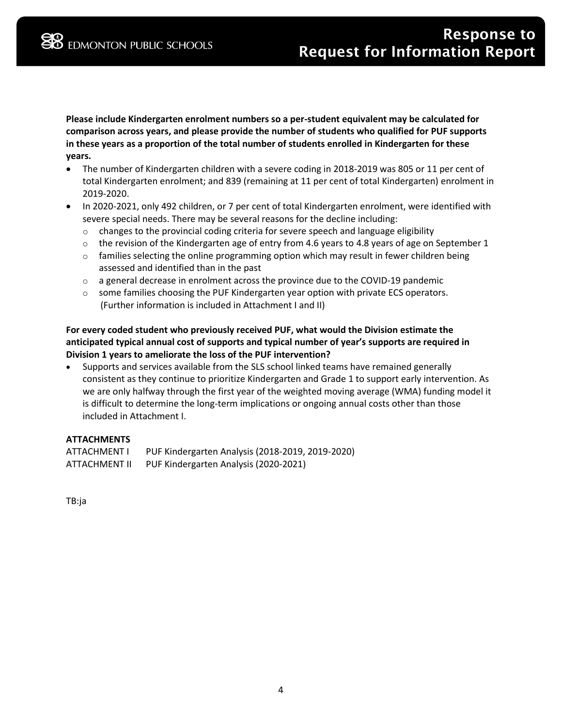**Please include Kindergarten enrolment numbers so a per-student equivalent may be calculated for comparison across years, and please provide the number of students who qualified for PUF supports in these years as a proportion of the total number of students enrolled in Kindergarten for these years.**

- The number of Kindergarten children with a severe coding in 2018-2019 was 805 or 11 per cent of total Kindergarten enrolment; and 839 (remaining at 11 per cent of total Kindergarten) enrolment in 2019-2020.
- In 2020-2021, only 492 children, or 7 per cent of total Kindergarten enrolment, were identified with severe special needs. There may be several reasons for the decline including:
	- $\circ$  changes to the provincial coding criteria for severe speech and language eligibility
	- $\circ$  the revision of the Kindergarten age of entry from 4.6 years to 4.8 years of age on September 1
	- $\circ$  families selecting the online programming option which may result in fewer children being assessed and identified than in the past
	- o a general decrease in enrolment across the province due to the COVID-19 pandemic
	- $\circ$  some families choosing the PUF Kindergarten year option with private ECS operators. (Further information is included in Attachment I and II)

## **For every coded student who previously received PUF, what would the Division estimate the anticipated typical annual cost of supports and typical number of year's supports are required in Division 1 years to ameliorate the loss of the PUF intervention?**

• Supports and services available from the SLS school linked teams have remained generally consistent as they continue to prioritize Kindergarten and Grade 1 to support early intervention. As we are only halfway through the first year of the weighted moving average (WMA) funding model it is difficult to determine the long-term implications or ongoing annual costs other than those included in Attachment I.

## **ATTACHMENTS**

| ATTACHMENT I  | PUF Kindergarten Analysis (2018-2019, 2019-2020) |
|---------------|--------------------------------------------------|
| ATTACHMENT II | PUF Kindergarten Analysis (2020-2021)            |

TB:ja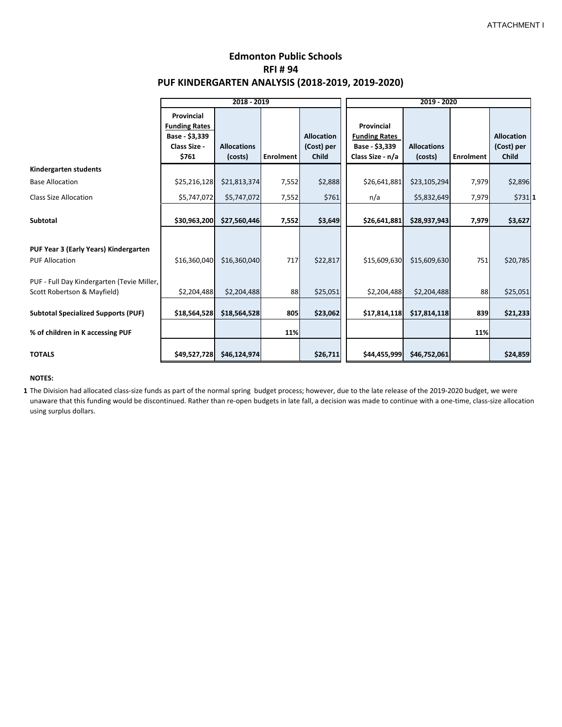# **Edmonton Public Schools RFI # 94 PUF KINDERGARTEN ANALYSIS (2018-2019, 2019-2020)**

|                                                                           | 2018 - 2019                                                                   |                               |                  |                                                 | 2019 - 2020                                                              |                               |                  |                                                 |
|---------------------------------------------------------------------------|-------------------------------------------------------------------------------|-------------------------------|------------------|-------------------------------------------------|--------------------------------------------------------------------------|-------------------------------|------------------|-------------------------------------------------|
|                                                                           | Provincial<br><b>Funding Rates</b><br>Base - \$3,339<br>Class Size -<br>\$761 | <b>Allocations</b><br>(costs) | <b>Enrolment</b> | <b>Allocation</b><br>(Cost) per<br><b>Child</b> | Provincial<br><b>Funding Rates</b><br>Base - \$3,339<br>Class Size - n/a | <b>Allocations</b><br>(costs) | <b>Enrolment</b> | <b>Allocation</b><br>(Cost) per<br><b>Child</b> |
| Kindergarten students                                                     |                                                                               |                               |                  |                                                 |                                                                          |                               |                  |                                                 |
| <b>Base Allocation</b>                                                    | \$25,216,128                                                                  | \$21,813,374                  | 7,552            | \$2,888                                         | \$26,641,881                                                             | \$23,105,294                  | 7,979            | \$2,896                                         |
| <b>Class Size Allocation</b>                                              | \$5,747,072                                                                   | \$5,747,072                   | 7,552            | \$761                                           | n/a                                                                      | \$5,832,649                   | 7,979            | $$731$ 1                                        |
| <b>Subtotal</b>                                                           | \$30,963,200                                                                  | \$27,560,446                  | 7,552            | \$3,649                                         | \$26,641,881                                                             | \$28,937,943                  | 7,979            | \$3,627                                         |
| PUF Year 3 (Early Years) Kindergarten<br><b>PUF Allocation</b>            | \$16,360,040                                                                  | \$16,360,040                  | 717              | \$22,817                                        | \$15,609,630                                                             | \$15,609,630                  | 751              | \$20,785                                        |
| PUF - Full Day Kindergarten (Tevie Miller,<br>Scott Robertson & Mayfield) | \$2,204,488                                                                   | \$2,204,488                   | 88               | \$25,051                                        | \$2,204,488                                                              | \$2,204,488                   | 88               | \$25,051                                        |
| <b>Subtotal Specialized Supports (PUF)</b>                                | \$18,564,528                                                                  | \$18,564,528                  | 805              | \$23,062                                        | \$17,814,118                                                             | \$17,814,118                  | 839              | \$21,233                                        |
| % of children in K accessing PUF                                          |                                                                               |                               | 11%              |                                                 |                                                                          |                               | 11%              |                                                 |
| <b>TOTALS</b>                                                             | \$49,527,728                                                                  | \$46,124,974                  |                  | \$26,711                                        | \$44,455,999                                                             | \$46,752,061                  |                  | \$24,859                                        |

#### **NOTES:**

**1** The Division had allocated class-size funds as part of the normal spring budget process; however, due to the late release of the 2019-2020 budget, we were unaware that this funding would be discontinued. Rather than re-open budgets in late fall, a decision was made to continue with a one-time, class-size allocation using surplus dollars.